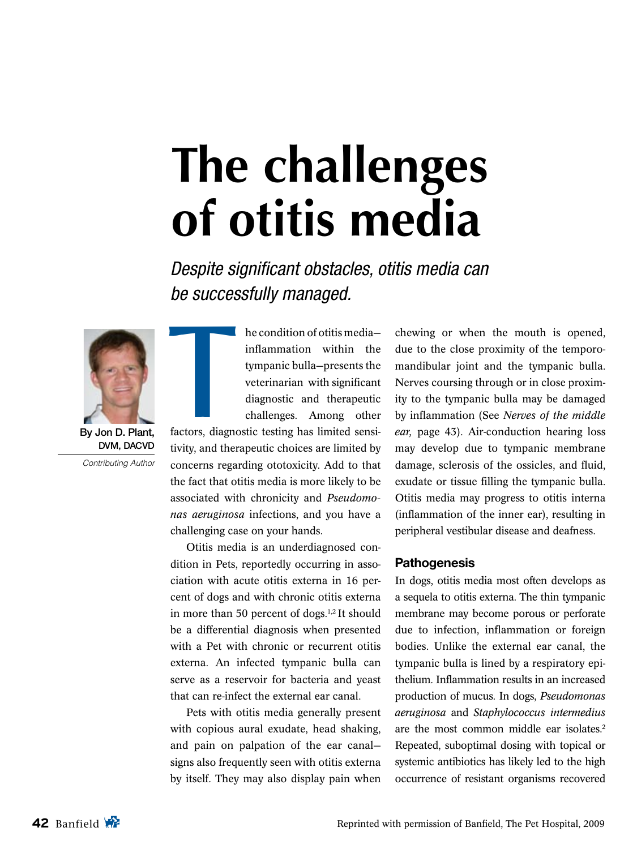# **The challenges of otitis media**

Despite significant obstacles, otitis media can be successfully managed.



Contributing Author

he condition of otitis media inflammation within the tympanic bulla—presents the veterinarian with significant diagnostic and therapeutic challenges. Among other

factors, diagnostic testing has limited sensitivity, and therapeutic choices are limited by concerns regarding ototoxicity. Add to that the fact that otitis media is more likely to be associated with chronicity and *Pseudomonas aeruginosa* infections, and you have a challenging case on your hands. **T**<br>factors, diagno

Otitis media is an underdiagnosed condition in Pets, reportedly occurring in association with acute otitis externa in 16 percent of dogs and with chronic otitis externa in more than 50 percent of dogs.<sup>1,2</sup> It should be a differential diagnosis when presented with a Pet with chronic or recurrent otitis externa. An infected tympanic bulla can serve as a reservoir for bacteria and yeast that can re-infect the external ear canal.

Pets with otitis media generally present with copious aural exudate, head shaking, and pain on palpation of the ear canal signs also frequently seen with otitis externa by itself. They may also display pain when chewing or when the mouth is opened, due to the close proximity of the temporomandibular joint and the tympanic bulla. Nerves coursing through or in close proximity to the tympanic bulla may be damaged by inflammation (See *Nerves of the middle ear,* page 43). Air-conduction hearing loss may develop due to tympanic membrane damage, sclerosis of the ossicles, and fluid, exudate or tissue filling the tympanic bulla. Otitis media may progress to otitis interna (inflammation of the inner ear), resulting in peripheral vestibular disease and deafness.

#### **Pathogenesis**

In dogs, otitis media most often develops as a sequela to otitis externa. The thin tympanic membrane may become porous or perforate due to infection, inflammation or foreign bodies. Unlike the external ear canal, the tympanic bulla is lined by a respiratory epithelium. Inflammation results in an increased production of mucus. In dogs, *Pseudomonas aeruginosa* and *Staphylococcus intermedius* are the most common middle ear isolates.<sup>2</sup> Repeated, suboptimal dosing with topical or systemic antibiotics has likely led to the high occurrence of resistant organisms recovered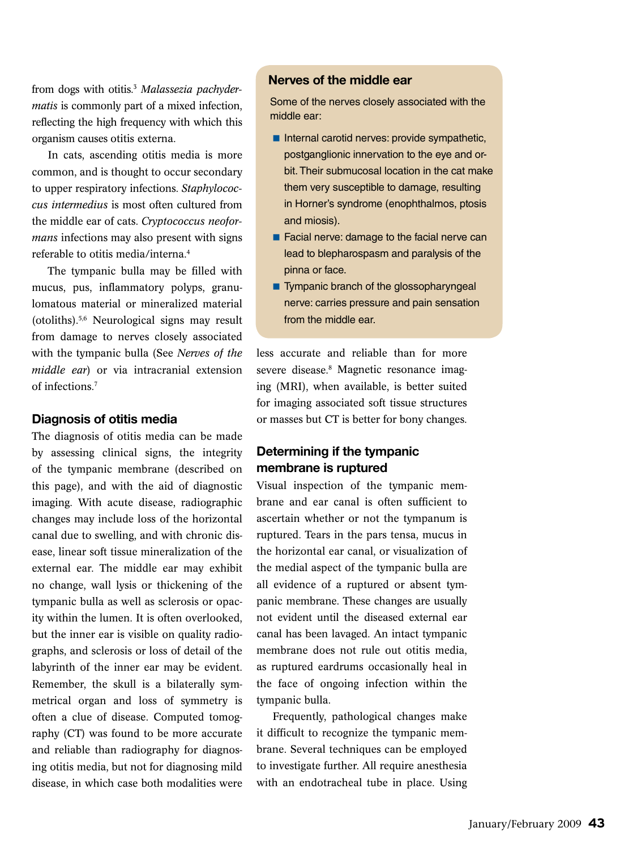from dogs with otitis.3 *Malassezia pachydermatis* is commonly part of a mixed infection, reflecting the high frequency with which this organism causes otitis externa.

In cats, ascending otitis media is more common, and is thought to occur secondary to upper respiratory infections. *Staphylococcus intermedius* is most often cultured from the middle ear of cats. *Cryptococcus neoformans* infections may also present with signs referable to otitis media/interna.4

The tympanic bulla may be filled with mucus, pus, inflammatory polyps, granulomatous material or mineralized material (otoliths).5,6 Neurological signs may result from damage to nerves closely associated with the tympanic bulla (See *Nerves of the middle ear*) or via intracranial extension of infections.7

#### **Diagnosis of otitis media**

The diagnosis of otitis media can be made by assessing clinical signs, the integrity of the tympanic membrane (described on this page), and with the aid of diagnostic imaging. With acute disease, radiographic changes may include loss of the horizontal canal due to swelling, and with chronic disease, linear soft tissue mineralization of the external ear. The middle ear may exhibit no change, wall lysis or thickening of the tympanic bulla as well as sclerosis or opacity within the lumen. It is often overlooked, but the inner ear is visible on quality radiographs, and sclerosis or loss of detail of the labyrinth of the inner ear may be evident. Remember, the skull is a bilaterally symmetrical organ and loss of symmetry is often a clue of disease. Computed tomography (CT) was found to be more accurate and reliable than radiography for diagnosing otitis media, but not for diagnosing mild disease, in which case both modalities were

#### **Nerves of the middle ear**

Some of the nerves closely associated with the middle ear:

- $\blacksquare$  Internal carotid nerves: provide sympathetic, postganglionic innervation to the eye and orbit. Their submucosal location in the cat make them very susceptible to damage, resulting in Horner's syndrome (enophthalmos, ptosis and miosis).
- Facial nerve: damage to the facial nerve can lead to blepharospasm and paralysis of the pinna or face.
- **Tympanic branch of the glossopharyngeal** nerve: carries pressure and pain sensation from the middle ear.

less accurate and reliable than for more severe disease.8 Magnetic resonance imaging (MRI), when available, is better suited for imaging associated soft tissue structures or masses but CT is better for bony changes.

## **Determining if the tympanic membrane is ruptured**

Visual inspection of the tympanic membrane and ear canal is often sufficient to ascertain whether or not the tympanum is ruptured. Tears in the pars tensa, mucus in the horizontal ear canal, or visualization of the medial aspect of the tympanic bulla are all evidence of a ruptured or absent tympanic membrane. These changes are usually not evident until the diseased external ear canal has been lavaged. An intact tympanic membrane does not rule out otitis media, as ruptured eardrums occasionally heal in the face of ongoing infection within the tympanic bulla.

Frequently, pathological changes make it difficult to recognize the tympanic membrane. Several techniques can be employed to investigate further. All require anesthesia with an endotracheal tube in place. Using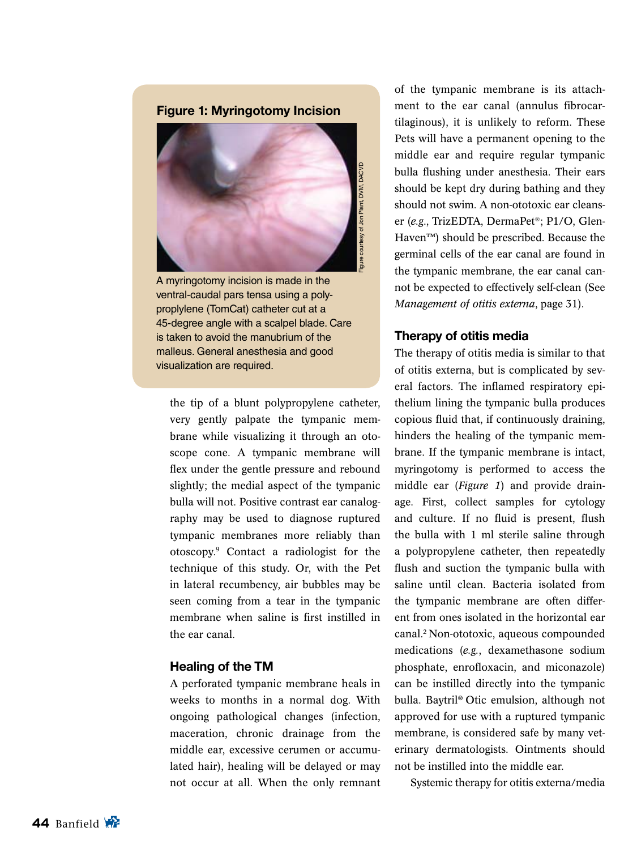

A myringotomy incision is made in the ventral-caudal pars tensa using a polyproplylene (TomCat) catheter cut at a 45-degree angle with a scalpel blade. Care is taken to avoid the manubrium of the malleus. General anesthesia and good visualization are required.

the tip of a blunt polypropylene catheter, very gently palpate the tympanic membrane while visualizing it through an otoscope cone. A tympanic membrane will flex under the gentle pressure and rebound slightly; the medial aspect of the tympanic bulla will not. Positive contrast ear canalography may be used to diagnose ruptured tympanic membranes more reliably than otoscopy.9 Contact a radiologist for the technique of this study. Or, with the Pet in lateral recumbency, air bubbles may be seen coming from a tear in the tympanic membrane when saline is first instilled in the ear canal.

#### **Healing of the TM**

A perforated tympanic membrane heals in weeks to months in a normal dog. With ongoing pathological changes (infection, maceration, chronic drainage from the middle ear, excessive cerumen or accumulated hair), healing will be delayed or may not occur at all. When the only remnant

of the tympanic membrane is its attachment to the ear canal (annulus fibrocartilaginous), it is unlikely to reform. These Pets will have a permanent opening to the middle ear and require regular tympanic bulla flushing under anesthesia. Their ears should be kept dry during bathing and they should not swim. A non-ototoxic ear cleanser (*e.g*., TrizEDTA, DermaPet®; P1/O, Glen-Haven™) should be prescribed. Because the germinal cells of the ear canal are found in the tympanic membrane, the ear canal cannot be expected to effectively self-clean (See *Management of otitis externa*, page 31).

## **Therapy of otitis media**

The therapy of otitis media is similar to that of otitis externa, but is complicated by several factors. The inflamed respiratory epithelium lining the tympanic bulla produces copious fluid that, if continuously draining, hinders the healing of the tympanic membrane. If the tympanic membrane is intact, myringotomy is performed to access the middle ear (*Figure 1*) and provide drainage. First, collect samples for cytology and culture. If no fluid is present, flush the bulla with 1 ml sterile saline through a polypropylene catheter, then repeatedly flush and suction the tympanic bulla with saline until clean. Bacteria isolated from the tympanic membrane are often different from ones isolated in the horizontal ear canal.2 Non-ototoxic, aqueous compounded medications (*e.g.*, dexamethasone sodium phosphate, enrofloxacin, and miconazole) can be instilled directly into the tympanic bulla. Baytril**®** Otic emulsion, although not approved for use with a ruptured tympanic membrane, is considered safe by many veterinary dermatologists. Ointments should not be instilled into the middle ear.

Systemic therapy for otitis externa/media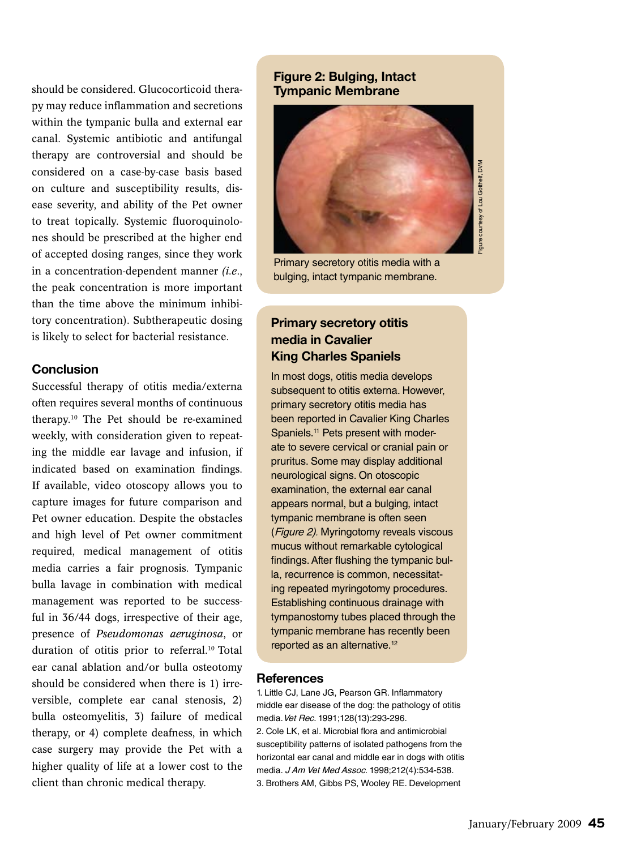should be considered. Glucocorticoid therapy may reduce inflammation and secretions within the tympanic bulla and external ear canal. Systemic antibiotic and antifungal therapy are controversial and should be considered on a case-by-case basis based on culture and susceptibility results, disease severity, and ability of the Pet owner to treat topically. Systemic fluoroquinolones should be prescribed at the higher end of accepted dosing ranges, since they work in a concentration-dependent manner *(i.e*., the peak concentration is more important than the time above the minimum inhibitory concentration). Subtherapeutic dosing is likely to select for bacterial resistance.

## **Conclusion**

Successful therapy of otitis media/externa often requires several months of continuous therapy.10 The Pet should be re-examined weekly, with consideration given to repeating the middle ear lavage and infusion, if indicated based on examination findings. If available, video otoscopy allows you to capture images for future comparison and Pet owner education. Despite the obstacles and high level of Pet owner commitment required, medical management of otitis media carries a fair prognosis. Tympanic bulla lavage in combination with medical management was reported to be successful in 36/44 dogs, irrespective of their age, presence of *Pseudomonas aeruginosa*, or duration of otitis prior to referral.<sup>10</sup> Total ear canal ablation and/or bulla osteotomy should be considered when there is 1) irreversible, complete ear canal stenosis, 2) bulla osteomyelitis, 3) failure of medical therapy, or 4) complete deafness, in which case surgery may provide the Pet with a higher quality of life at a lower cost to the client than chronic medical therapy.

# **Figure 2: Bulging, Intact Tympanic Membrane**



Primary secretory otitis media with a bulging, intact tympanic membrane.

# **Primary secretory otitis media in Cavalier King Charles Spaniels**

In most dogs, otitis media develops subsequent to otitis externa. However, primary secretory otitis media has been reported in Cavalier King Charles Spaniels.<sup>11</sup> Pets present with moderate to severe cervical or cranial pain or pruritus. Some may display additional neurological signs. On otoscopic examination, the external ear canal appears normal, but a bulging, intact tympanic membrane is often seen (Figure 2). Myringotomy reveals viscous mucus without remarkable cytological findings. After flushing the tympanic bulla, recurrence is common, necessitating repeated myringotomy procedures. Establishing continuous drainage with tympanostomy tubes placed through the tympanic membrane has recently been reported as an alternative.<sup>12</sup>

#### **References**

1. Little CJ, Lane JG, Pearson GR. Inflammatory middle ear disease of the dog: the pathology of otitis media. Vet Rec. 1991;128(13):293-296. 2. Cole LK, et al. Microbial flora and antimicrobial susceptibility patterns of isolated pathogens from the horizontal ear canal and middle ear in dogs with otitis media. J Am Vet Med Assoc. 1998;212(4):534-538. 3. Brothers AM, Gibbs PS, Wooley RE. Development